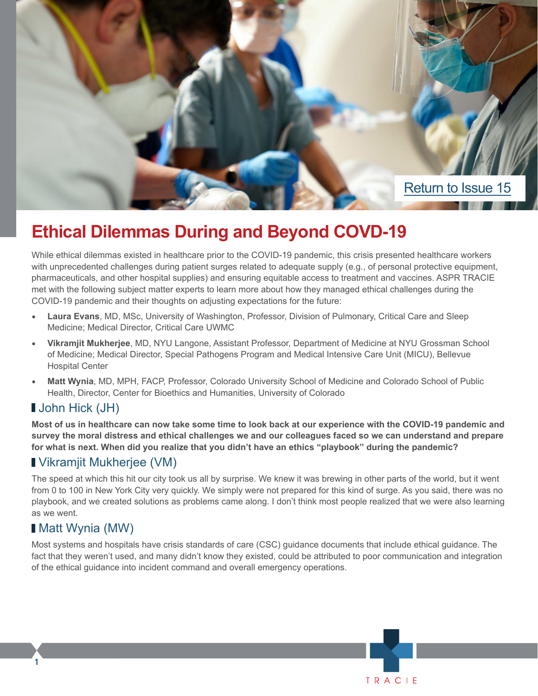

# **Ethical Dilemmas During and Beyond COVD-19**

While ethical dilemmas existed in healthcare prior to the COVID-19 pandemic, this crisis presented healthcare workers with unprecedented challenges during patient surges related to adequate supply (e.g., of personal protective equipment, pharmaceuticals, and other hospital supplies) and ensuring equitable access to treatment and vaccines. ASPR TRACIE met with the following subject matter experts to learn more about how they managed ethical challenges during the COVID-19 pandemic and their thoughts on adjusting expectations for the future:

- **• Laura Evans**, MD, MSc, University of Washington, Professor, Division of Pulmonary, Critical Care and Sleep Medicine; Medical Director, Critical Care UWMC
- **• Vikramjit Mukherjee**, MD, NYU Langone, Assistant Professor, Department of Medicine at NYU Grossman School of Medicine; Medical Director, Special Pathogens Program and Medical Intensive Care Unit (MICU), Bellevue Hospital Center
- **• Matt Wynia**, MD, MPH, FACP, Professor, Colorado University School of Medicine and Colorado School of Public Health, Director, Center for Bioethics and Humanities, University of Colorado

### John Hick (JH)

**Most of us in healthcare can now take some time to look back at our experience with the COVID-19 pandemic and survey the moral distress and ethical challenges we and our colleagues faced so we can understand and prepare for what is next. When did you realize that you didn't have an ethics "playbook" during the pandemic?** 

### Vikramjit Mukherjee (VM)

The speed at which this hit our city took us all by surprise. We knew it was brewing in other parts of the world, but it went from 0 to 100 in New York City very quickly. We simply were not prepared for this kind of surge. As you said, there was no playbook, and we created solutions as problems came along. I don't think most people realized that we were also learning as we went.

### Matt Wynia (MW)

**1**

Most systems and hospitals have crisis standards of care (CSC) guidance documents that include ethical guidance. The fact that they weren't used, and many didn't know they existed, could be attributed to poor communication and integration of the ethical guidance into incident command and overall emergency operations.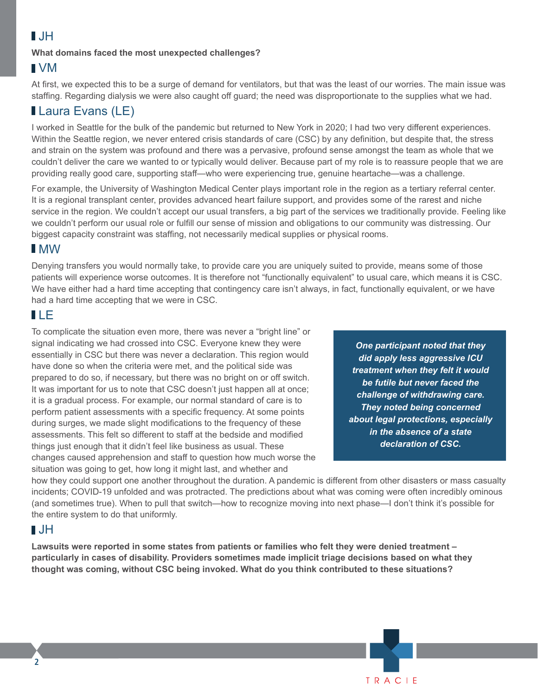## $\blacksquare$

#### **What domains faced the most unexpected challenges?**

#### VM

At first, we expected this to be a surge of demand for ventilators, but that was the least of our worries. The main issue was staffing. Regarding dialysis we were also caught off guard; the need was disproportionate to the supplies what we had.

## **Laura Evans (LE)**

I worked in Seattle for the bulk of the pandemic but returned to New York in 2020; I had two very different experiences. Within the Seattle region, we never entered crisis standards of care (CSC) by any definition, but despite that, the stress and strain on the system was profound and there was a pervasive, profound sense amongst the team as whole that we couldn't deliver the care we wanted to or typically would deliver. Because part of my role is to reassure people that we are providing really good care, supporting staff—who were experiencing true, genuine heartache—was a challenge.

For example, the University of Washington Medical Center plays important role in the region as a tertiary referral center. It is a regional transplant center, provides advanced heart failure support, and provides some of the rarest and niche service in the region. We couldn't accept our usual transfers, a big part of the services we traditionally provide. Feeling like we couldn't perform our usual role or fulfill our sense of mission and obligations to our community was distressing. Our biggest capacity constraint was staffing, not necessarily medical supplies or physical rooms.

### MW

Denying transfers you would normally take, to provide care you are uniquely suited to provide, means some of those patients will experience worse outcomes. It is therefore not "functionally equivalent" to usual care, which means it is CSC. We have either had a hard time accepting that contingency care isn't always, in fact, functionally equivalent, or we have had a hard time accepting that we were in CSC.

## LE

To complicate the situation even more, there was never a "bright line" or signal indicating we had crossed into CSC. Everyone knew they were essentially in CSC but there was never a declaration. This region would have done so when the criteria were met, and the political side was prepared to do so, if necessary, but there was no bright on or off switch. It was important for us to note that CSC doesn't just happen all at once; it is a gradual process. For example, our normal standard of care is to perform patient assessments with a specific frequency. At some points during surges, we made slight modifications to the frequency of these assessments. This felt so different to staff at the bedside and modified things just enough that it didn't feel like business as usual. These changes caused apprehension and staff to question how much worse the situation was going to get, how long it might last, and whether and

*One participant noted that they did apply less aggressive ICU treatment when they felt it would be futile but never faced the challenge of withdrawing care. They noted being concerned about legal protections, especially in the absence of a state declaration of CSC.* 

TRACIF

how they could support one another throughout the duration. A pandemic is different from other disasters or mass casualty incidents; COVID-19 unfolded and was protracted. The predictions about what was coming were often incredibly ominous (and sometimes true). When to pull that switch—how to recognize moving into next phase—I don't think it's possible for the entire system to do that uniformly.

#### $\blacksquare$

**Lawsuits were reported in some states from patients or families who felt they were denied treatment – particularly in cases of disability. Providers sometimes made implicit triage decisions based on what they thought was coming, without CSC being invoked. What do you think contributed to these situations?** 

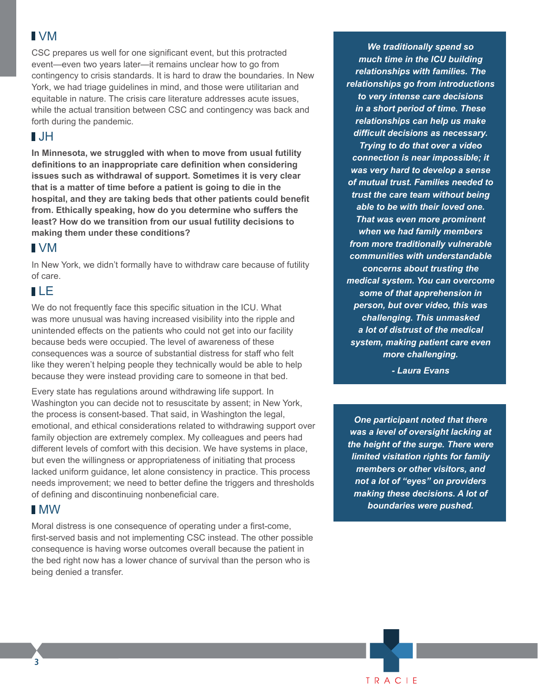#### VM

CSC prepares us well for one significant event, but this protracted event—even two years later—it remains unclear how to go from contingency to crisis standards. It is hard to draw the boundaries. In New York, we had triage guidelines in mind, and those were utilitarian and equitable in nature. The crisis care literature addresses acute issues, while the actual transition between CSC and contingency was back and forth during the pandemic.

#### $\blacksquare$ JH

**In Minnesota, we struggled with when to move from usual futility definitions to an inappropriate care definition when considering issues such as withdrawal of support. Sometimes it is very clear that is a matter of time before a patient is going to die in the hospital, and they are taking beds that other patients could benefit from. Ethically speaking, how do you determine who suffers the least? How do we transition from our usual futility decisions to making them under these conditions?**

### VM

In New York, we didn't formally have to withdraw care because of futility of care.

#### LE

We do not frequently face this specific situation in the ICU. What was more unusual was having increased visibility into the ripple and unintended effects on the patients who could not get into our facility because beds were occupied. The level of awareness of these consequences was a source of substantial distress for staff who felt like they weren't helping people they technically would be able to help because they were instead providing care to someone in that bed.

Every state has regulations around withdrawing life support. In Washington you can decide not to resuscitate by assent; in New York, the process is consent-based. That said, in Washington the legal, emotional, and ethical considerations related to withdrawing support over family objection are extremely complex. My colleagues and peers had different levels of comfort with this decision. We have systems in place, but even the willingness or appropriateness of initiating that process lacked uniform guidance, let alone consistency in practice. This process needs improvement; we need to better define the triggers and thresholds of defining and discontinuing nonbeneficial care.

#### MW

Moral distress is one consequence of operating under a first-come, first-served basis and not implementing CSC instead. The other possible consequence is having worse outcomes overall because the patient in the bed right now has a lower chance of survival than the person who is being denied a transfer.

*We traditionally spend so much time in the ICU building relationships with families. The relationships go from introductions to very intense care decisions in a short period of time. These relationships can help us make difficult decisions as necessary. Trying to do that over a video connection is near impossible; it was very hard to develop a sense of mutual trust. Families needed to trust the care team without being able to be with their loved one. That was even more prominent when we had family members from more traditionally vulnerable communities with understandable concerns about trusting the medical system. You can overcome some of that apprehension in person, but over video, this was challenging. This unmasked a lot of distrust of the medical system, making patient care even more challenging.* 

*- Laura Evans*

*One participant noted that there was a level of oversight lacking at the height of the surge. There were limited visitation rights for family members or other visitors, and not a lot of "eyes" on providers making these decisions. A lot of boundaries were pushed.*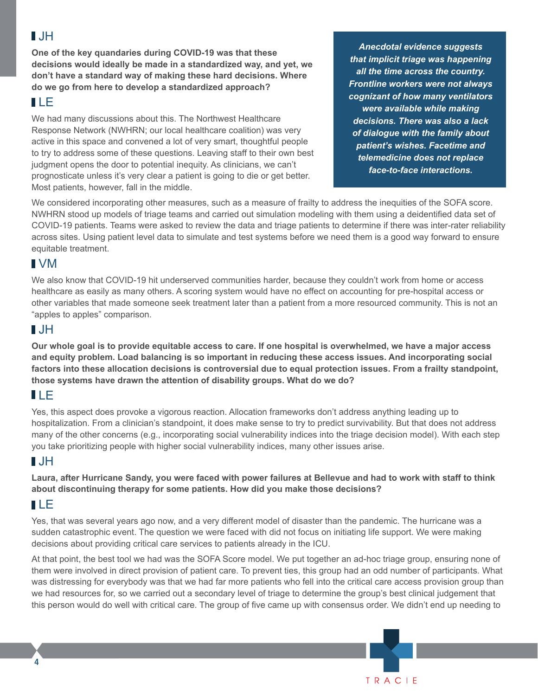## JH

**One of the key quandaries during COVID-19 was that these decisions would ideally be made in a standardized way, and yet, we don't have a standard way of making these hard decisions. Where do we go from here to develop a standardized approach?** 

## LE

We had many discussions about this. The Northwest Healthcare Response Network (NWHRN; our local healthcare coalition) was very active in this space and convened a lot of very smart, thoughtful people to try to address some of these questions. Leaving staff to their own best judgment opens the door to potential inequity. As clinicians, we can't prognosticate unless it's very clear a patient is going to die or get better. Most patients, however, fall in the middle.

*Anecdotal evidence suggests that implicit triage was happening all the time across the country. Frontline workers were not always cognizant of how many ventilators were available while making decisions. There was also a lack of dialogue with the family about patient's wishes. Facetime and telemedicine does not replace face-to-face interactions.* 

We considered incorporating other measures, such as a measure of frailty to address the inequities of the SOFA score. NWHRN stood up models of triage teams and carried out simulation modeling with them using a deidentified data set of COVID-19 patients. Teams were asked to review the data and triage patients to determine if there was inter-rater reliability across sites. Using patient level data to simulate and test systems before we need them is a good way forward to ensure equitable treatment.

### VM

We also know that COVID-19 hit underserved communities harder, because they couldn't work from home or access healthcare as easily as many others. A scoring system would have no effect on accounting for pre-hospital access or other variables that made someone seek treatment later than a patient from a more resourced community. This is not an "apples to apples" comparison.

## $\blacksquare$

**Our whole goal is to provide equitable access to care. If one hospital is overwhelmed, we have a major access and equity problem. Load balancing is so important in reducing these access issues. And incorporating social factors into these allocation decisions is controversial due to equal protection issues. From a frailty standpoint, those systems have drawn the attention of disability groups. What do we do?**

## LE

Yes, this aspect does provoke a vigorous reaction. Allocation frameworks don't address anything leading up to hospitalization. From a clinician's standpoint, it does make sense to try to predict survivability. But that does not address many of the other concerns (e.g., incorporating social vulnerability indices into the triage decision model). With each step you take prioritizing people with higher social vulnerability indices, many other issues arise.

## $\blacksquare$

**Laura, after Hurricane Sandy, you were faced with power failures at Bellevue and had to work with staff to think about discontinuing therapy for some patients. How did you make those decisions?**

## LE

**4**

Yes, that was several years ago now, and a very different model of disaster than the pandemic. The hurricane was a sudden catastrophic event. The question we were faced with did not focus on initiating life support. We were making decisions about providing critical care services to patients already in the ICU.

At that point, the best tool we had was the SOFA Score model. We put together an ad-hoc triage group, ensuring none of them were involved in direct provision of patient care. To prevent ties, this group had an odd number of participants. What was distressing for everybody was that we had far more patients who fell into the critical care access provision group than we had resources for, so we carried out a secondary level of triage to determine the group's best clinical judgement that this person would do well with critical care. The group of five came up with consensus order. We didn't end up needing to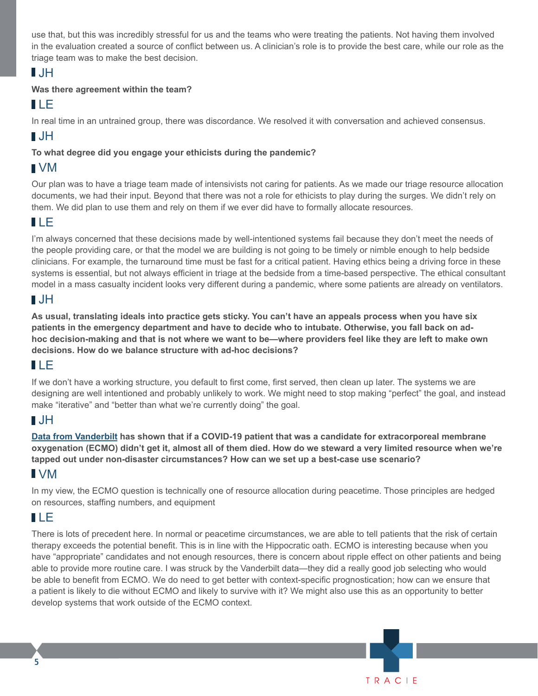use that, but this was incredibly stressful for us and the teams who were treating the patients. Not having them involved in the evaluation created a source of conflict between us. A clinician's role is to provide the best care, while our role as the triage team was to make the best decision.

## JH

#### **Was there agreement within the team?**

## LE

In real time in an untrained group, there was discordance. We resolved it with conversation and achieved consensus.

## JH

#### **To what degree did you engage your ethicists during the pandemic?**

## VM

Our plan was to have a triage team made of intensivists not caring for patients. As we made our triage resource allocation documents, we had their input. Beyond that there was not a role for ethicists to play during the surges. We didn't rely on them. We did plan to use them and rely on them if we ever did have to formally allocate resources.

## LE

I'm always concerned that these decisions made by well-intentioned systems fail because they don't meet the needs of the people providing care, or that the model we are building is not going to be timely or nimble enough to help bedside clinicians. For example, the turnaround time must be fast for a critical patient. Having ethics being a driving force in these systems is essential, but not always efficient in triage at the bedside from a time-based perspective. The ethical consultant model in a mass casualty incident looks very different during a pandemic, where some patients are already on ventilators.

## $\blacksquare$ JH

**As usual, translating ideals into practice gets sticky. You can't have an appeals process when you have six patients in the emergency department and have to decide who to intubate. Otherwise, you fall back on adhoc decision-making and that is not where we want to be—where providers feel like they are left to make own decisions. How do we balance structure with ad-hoc decisions?**

## LE

If we don't have a working structure, you default to first come, first served, then clean up later. The systems we are designing are well intentioned and probably unlikely to work. We might need to stop making "perfect" the goal, and instead make "iterative" and "better than what we're currently doing" the goal.

## JH

**[Data from Vanderbilt](https://www.atsjournals.org/doi/10.1164/rccm.202110-2399LE) has shown that if a COVID-19 patient that was a candidate for extracorporeal membrane oxygenation (ECMO) didn't get it, almost all of them died. How do we steward a very limited resource when we're tapped out under non-disaster circumstances? How can we set up a best-case use scenario?**

## VM

In my view, the ECMO question is technically one of resource allocation during peacetime. Those principles are hedged on resources, staffing numbers, and equipment

## LE

**5**

There is lots of precedent here. In normal or peacetime circumstances, we are able to tell patients that the risk of certain therapy exceeds the potential benefit. This is in line with the Hippocratic oath. ECMO is interesting because when you have "appropriate" candidates and not enough resources, there is concern about ripple effect on other patients and being able to provide more routine care. I was struck by the Vanderbilt data—they did a really good job selecting who would be able to benefit from ECMO. We do need to get better with context-specific prognostication; how can we ensure that a patient is likely to die without ECMO and likely to survive with it? We might also use this as an opportunity to better develop systems that work outside of the ECMO context.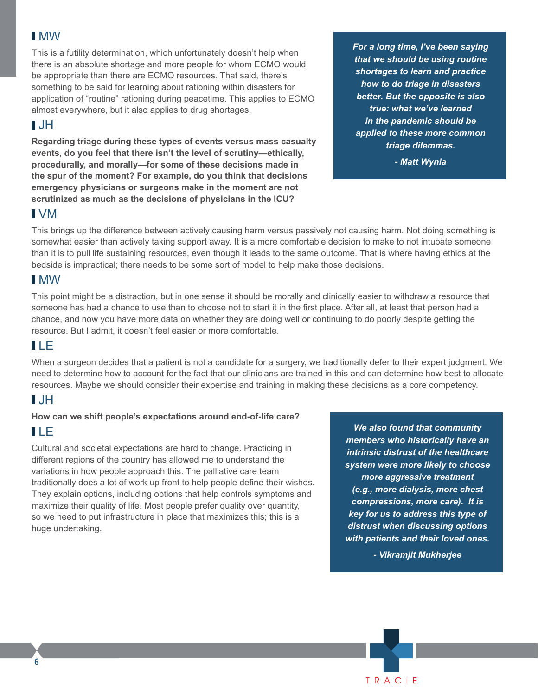#### MW

This is a futility determination, which unfortunately doesn't help when there is an absolute shortage and more people for whom ECMO would be appropriate than there are ECMO resources. That said, there's something to be said for learning about rationing within disasters for application of "routine" rationing during peacetime. This applies to ECMO almost everywhere, but it also applies to drug shortages.

#### $\blacksquare$

**Regarding triage during these types of events versus mass casualty events, do you feel that there isn't the level of scrutiny—ethically, procedurally, and morally—for some of these decisions made in the spur of the moment? For example, do you think that decisions emergency physicians or surgeons make in the moment are not scrutinized as much as the decisions of physicians in the ICU?**

*For a long time, I've been saying that we should be using routine shortages to learn and practice how to do triage in disasters better. But the opposite is also true: what we've learned in the pandemic should be applied to these more common triage dilemmas.*

*- Matt Wynia*

#### VM

This brings up the difference between actively causing harm versus passively not causing harm. Not doing something is somewhat easier than actively taking support away. It is a more comfortable decision to make to not intubate someone than it is to pull life sustaining resources, even though it leads to the same outcome. That is where having ethics at the bedside is impractical; there needs to be some sort of model to help make those decisions.

### MW

This point might be a distraction, but in one sense it should be morally and clinically easier to withdraw a resource that someone has had a chance to use than to choose not to start it in the first place. After all, at least that person had a chance, and now you have more data on whether they are doing well or continuing to do poorly despite getting the resource. But I admit, it doesn't feel easier or more comfortable.

#### LE

When a surgeon decides that a patient is not a candidate for a surgery, we traditionally defer to their expert judgment. We need to determine how to account for the fact that our clinicians are trained in this and can determine how best to allocate resources. Maybe we should consider their expertise and training in making these decisions as a core competency.

## JH

#### **How can we shift people's expectations around end-of-life care?**

## LE

Cultural and societal expectations are hard to change. Practicing in different regions of the country has allowed me to understand the variations in how people approach this. The palliative care team traditionally does a lot of work up front to help people define their wishes. They explain options, including options that help controls symptoms and maximize their quality of life. Most people prefer quality over quantity, so we need to put infrastructure in place that maximizes this; this is a huge undertaking.

*We also found that community members who historically have an intrinsic distrust of the healthcare system were more likely to choose more aggressive treatment (e.g., more dialysis, more chest compressions, more care). It is key for us to address this type of distrust when discussing options with patients and their loved ones.* 

*- Vikramjit Mukherjee*



**6**